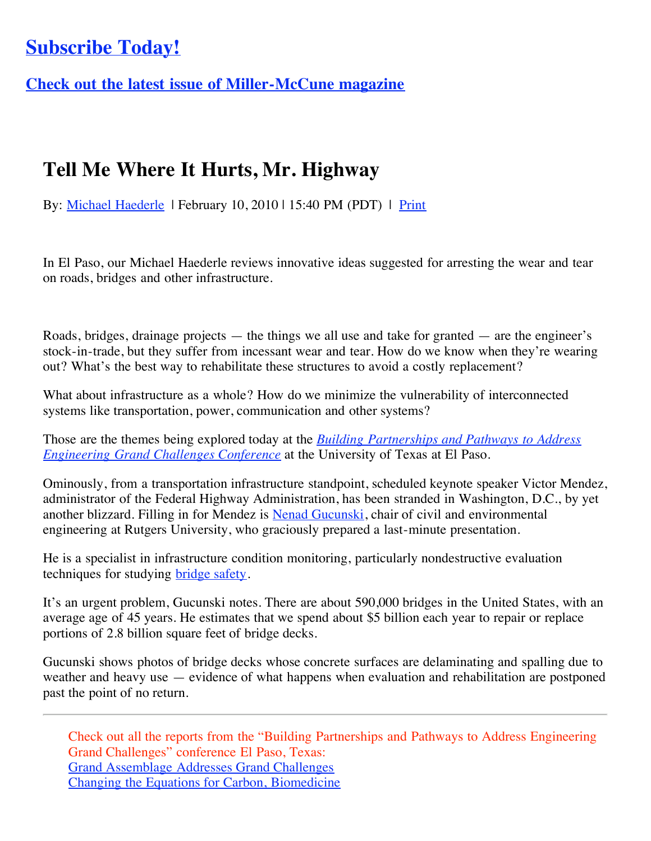## **[Subscribe Today!](http://miller-mccune.myshopify.com/products/two-year-subscription)**

**[Check out the latest issue of Miller-McCune magazine](http://www.miller-mccune.com/magazine/)**

## **Tell Me Where It Hurts, Mr. Highway**

By: [Michael Haederle](http://www.miller-mccune.com/author/mhaederle/) | February 10, 2010 | 15:40 PM (PDT) | [Print](javascript:print();)

In El Paso, our Michael Haederle reviews innovative ideas suggested for arresting the wear and tear on roads, bridges and other infrastructure.

Roads, bridges, drainage projects — the things we all use and take for granted — are the engineer's stock-in-trade, but they suffer from incessant wear and tear. How do we know when they're wearing out? What's the best way to rehabilitate these structures to avoid a costly replacement?

What about infrastructure as a whole? How do we minimize the vulnerability of interconnected systems like transportation, power, communication and other systems?

[Those are the themes being explored today at the](http://engineering.utep.edu/grandchallenges/index.html) *Building Partnerships and Pathways to Address Engineering Grand Challenges Conference* at the University of Texas at El Paso.

Ominously, from a transportation infrastructure standpoint, scheduled keynote speaker Victor Mendez, administrator of the Federal Highway Administration, has been stranded in Washington, D.C., by yet another blizzard. Filling in for Mendez is [Nenad Gucunski,](http://www.utrc2.org/directory/people.php?viewid=17) chair of civil and environmental engineering at Rutgers University, who graciously prepared a last-minute presentation.

He is a specialist in infrastructure condition monitoring, particularly nondestructive evaluation techniques for studying [bridge safety](http://www.miller-mccune.com/science-environment/if-bridges-could-talk-3372/).

It's an urgent problem, Gucunski notes. There are about 590,000 bridges in the United States, with an average age of 45 years. He estimates that we spend about \$5 billion each year to repair or replace portions of 2.8 billion square feet of bridge decks.

Gucunski shows photos of bridge decks whose concrete surfaces are delaminating and spalling due to weather and heavy use — evidence of what happens when evaluation and rehabilitation are postponed past the point of no return.

Check out all the reports from the "Building Partnerships and Pathways to Address Engineering Grand Challenges" conference El Paso, Texas: [Grand Assemblage Addresses Grand Challenges](http://www.miller-mccune.com/science-environment/grand-assemblage-addresses-grand-challenges-8720/) [Changing the Equations for Carbon, Biomedicine](http://www.miller-mccune.com/science-environment/changing-the-equations-for-carbon-biomedicine-8741/)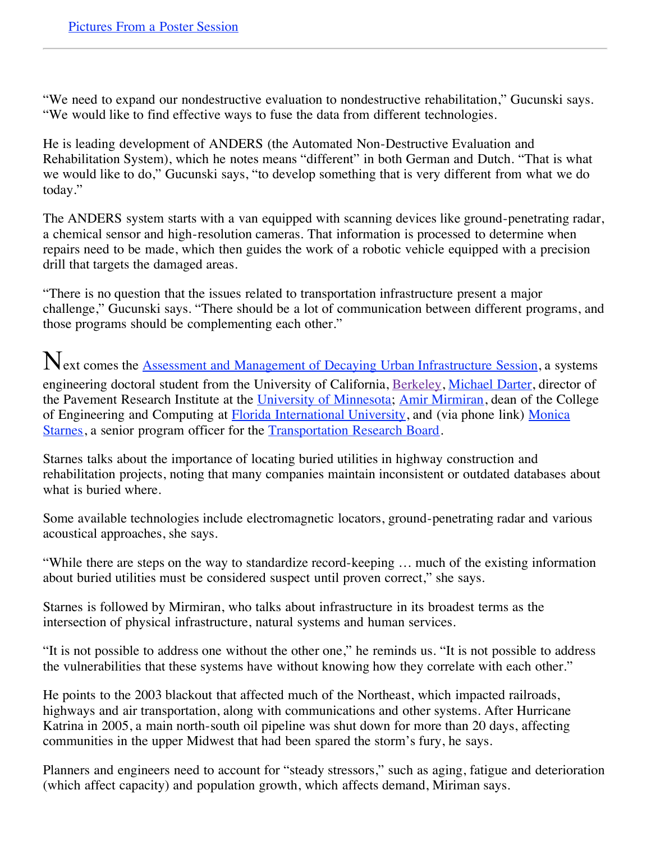"We need to expand our nondestructive evaluation to nondestructive rehabilitation," Gucunski says. "We would like to find effective ways to fuse the data from different technologies.

He is leading development of ANDERS (the Automated Non-Destructive Evaluation and Rehabilitation System), which he notes means "different" in both German and Dutch. "That is what we would like to do," Gucunski says, "to develop something that is very different from what we do today."

The ANDERS system starts with a van equipped with scanning devices like ground-penetrating radar, a chemical sensor and high-resolution cameras. That information is processed to determine when repairs need to be made, which then guides the work of a robotic vehicle equipped with a precision drill that targets the damaged areas.

"There is no question that the issues related to transportation infrastructure present a major challenge," Gucunski says. "There should be a lot of communication between different programs, and those programs should be complementing each other."

Next comes the **Assessment and Management of Decaying Urban Infrastructure Session**, a systems engineering doctoral student from the University of California, [Berkeley,](http://berkeley.edu/) [Michael Darter](http://engineering.utep.edu/grandchallenges/speakers.html#darter), director of the Pavement Research Institute at the [University of Minnesota](http://www1.umn.edu/twincities/index.php); [Amir Mirmiran,](http://engineering.utep.edu/grandchallenges/speakers.html#mirmiran) dean of the College [of Engineering and Computing at Florida International University, and \(via phone link\) Monica](http://engineering.utep.edu/grandchallenges/speakers.html#starnes) Starnes, a senior program officer for the [Transportation Research Board](http://www.trb.org/Main/Public/Home.aspx).

Starnes talks about the importance of locating buried utilities in highway construction and rehabilitation projects, noting that many companies maintain inconsistent or outdated databases about what is buried where.

Some available technologies include electromagnetic locators, ground-penetrating radar and various acoustical approaches, she says.

"While there are steps on the way to standardize record-keeping … much of the existing information about buried utilities must be considered suspect until proven correct," she says.

Starnes is followed by Mirmiran, who talks about infrastructure in its broadest terms as the intersection of physical infrastructure, natural systems and human services.

"It is not possible to address one without the other one," he reminds us. "It is not possible to address the vulnerabilities that these systems have without knowing how they correlate with each other."

He points to the 2003 blackout that affected much of the Northeast, which impacted railroads, highways and air transportation, along with communications and other systems. After Hurricane Katrina in 2005, a main north-south oil pipeline was shut down for more than 20 days, affecting communities in the upper Midwest that had been spared the storm's fury, he says.

Planners and engineers need to account for "steady stressors," such as aging, fatigue and deterioration (which affect capacity) and population growth, which affects demand, Miriman says.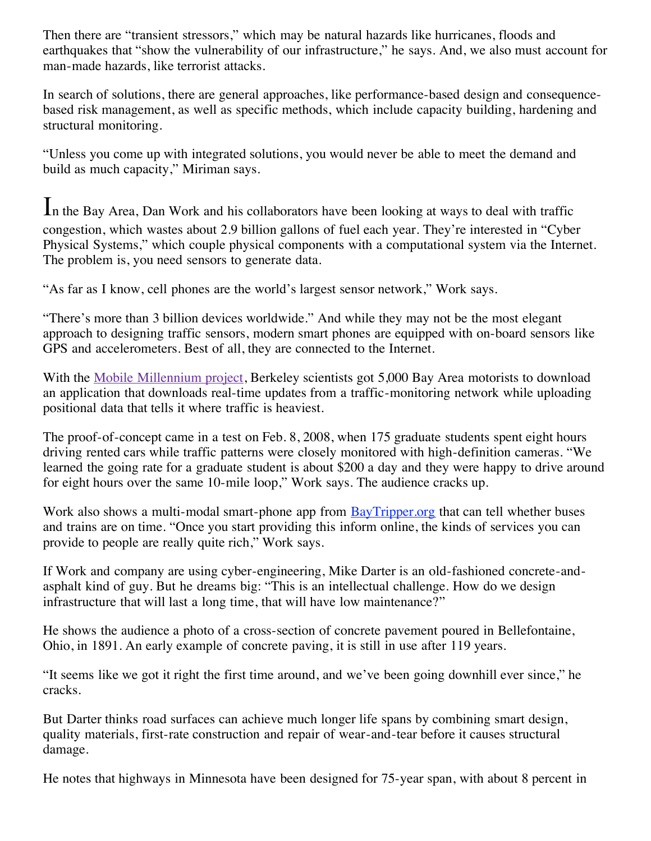Then there are "transient stressors," which may be natural hazards like hurricanes, floods and earthquakes that "show the vulnerability of our infrastructure," he says. And, we also must account for man-made hazards, like terrorist attacks.

In search of solutions, there are general approaches, like performance-based design and consequencebased risk management, as well as specific methods, which include capacity building, hardening and structural monitoring.

"Unless you come up with integrated solutions, you would never be able to meet the demand and build as much capacity," Miriman says.

In the Bay Area, Dan Work and his collaborators have been looking at ways to deal with traffic congestion, which wastes about 2.9 billion gallons of fuel each year. They're interested in "Cyber Physical Systems," which couple physical components with a computational system via the Internet. The problem is, you need sensors to generate data.

"As far as I know, cell phones are the world's largest sensor network," Work says.

"There's more than 3 billion devices worldwide." And while they may not be the most elegant approach to designing traffic sensors, modern smart phones are equipped with on-board sensors like GPS and accelerometers. Best of all, they are connected to the Internet.

With the [Mobile Millennium project](http://traffic.berkeley.edu/), Berkeley scientists got 5,000 Bay Area motorists to download an application that downloads real-time updates from a traffic-monitoring network while uploading positional data that tells it where traffic is heaviest.

The proof-of-concept came in a test on Feb. 8, 2008, when 175 graduate students spent eight hours driving rented cars while traffic patterns were closely monitored with high-definition cameras. "We learned the going rate for a graduate student is about \$200 a day and they were happy to drive around for eight hours over the same 10-mile loop," Work says. The audience cracks up.

Work also shows a multi-modal smart-phone app from [BayTripper.org](http://systems.berkeley.edu/jerry/) that can tell whether buses and trains are on time. "Once you start providing this inform online, the kinds of services you can provide to people are really quite rich," Work says.

If Work and company are using cyber-engineering, Mike Darter is an old-fashioned concrete-andasphalt kind of guy. But he dreams big: "This is an intellectual challenge. How do we design infrastructure that will last a long time, that will have low maintenance?"

He shows the audience a photo of a cross-section of concrete pavement poured in Bellefontaine, Ohio, in 1891. An early example of concrete paving, it is still in use after 119 years.

"It seems like we got it right the first time around, and we've been going downhill ever since," he cracks.

But Darter thinks road surfaces can achieve much longer life spans by combining smart design, quality materials, first-rate construction and repair of wear-and-tear before it causes structural damage.

He notes that highways in Minnesota have been designed for 75-year span, with about 8 percent in